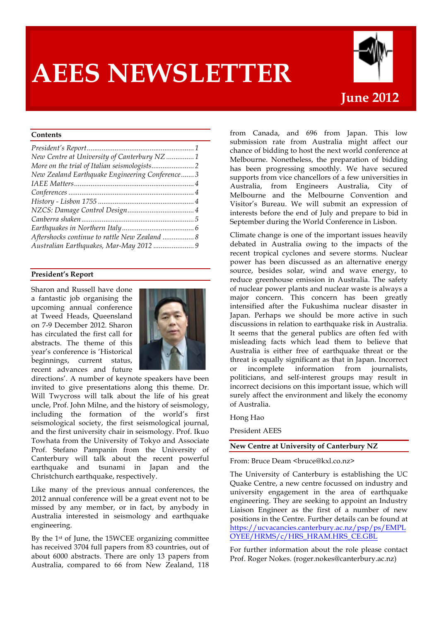# **AEES NEWSLETTER**



# **Contents**

| New Centre at University of Canterbury NZ 1    |  |
|------------------------------------------------|--|
|                                                |  |
| New Zealand Earthquake Engineering Conference3 |  |
|                                                |  |
|                                                |  |
|                                                |  |
|                                                |  |
|                                                |  |
|                                                |  |
|                                                |  |
|                                                |  |

## **President's Report**

Sharon and Russell have done a fantastic job organising the upcoming annual conference at Tweed Heads, Queensland on 7-9 December 2012. Sharon has circulated the first call for abstracts. The theme of this year's conference is 'Historical beginnings, current status, recent advances and future



directions'. A number of keynote speakers have been invited to give presentations along this theme. Dr. Will Twycross will talk about the life of his great uncle, Prof. John Milne, and the history of seismology, including the formation of the world's first seismological society, the first seismological journal, and the first university chair in seismology. Prof. Ikuo Towhata from the University of Tokyo and Associate Prof. Stefano Pampanin from the University of Canterbury will talk about the recent powerful earthquake and tsunami in Japan and the Christchurch earthquake, respectively.

Like many of the previous annual conferences, the 2012 annual conference will be a great event not to be missed by any member, or in fact, by anybody in Australia interested in seismology and earthquake engineering.

By the 1st of June, the 15WCEE organizing committee has received 3704 full papers from 83 countries, out of about 6000 abstracts. There are only 13 papers from Australia, compared to 66 from New Zealand, 118 from Canada, and 696 from Japan. This low submission rate from Australia might affect our chance of bidding to host the next world conference at Melbourne. Nonetheless, the preparation of bidding has been progressing smoothly. We have secured supports from vice chancellors of a few universities in Australia, from Engineers Australia, City of Melbourne and the Melbourne Convention and Visitor's Bureau. We will submit an expression of interests before the end of July and prepare to bid in September during the World Conference in Lisbon.

Climate change is one of the important issues heavily debated in Australia owing to the impacts of the recent tropical cyclones and severe storms. Nuclear power has been discussed as an alternative energy source, besides solar, wind and wave energy, to reduce greenhouse emission in Australia. The safety of nuclear power plants and nuclear waste is always a major concern. This concern has been greatly intensified after the Fukushima nuclear disaster in Japan. Perhaps we should be more active in such discussions in relation to earthquake risk in Australia. It seems that the general publics are often fed with misleading facts which lead them to believe that Australia is either free of earthquake threat or the threat is equally significant as that in Japan. Incorrect or incomplete information from journalists, politicians, and self-interest groups may result in incorrect decisions on this important issue, which will surely affect the environment and likely the economy of Australia.

#### Hong Hao

President AEES

#### **New Centre at University of Canterbury NZ**

From: Bruce Deam <br/> <br/> <br/> <br/> <br/> <br/> <br/> <br/> <br/> <br/> <br/> <br/> <br/> <br/> <br/> From: Bruce  $\Omega$ 

The University of Canterbury is establishing the UC Quake Centre, a new centre focussed on industry and university engagement in the area of earthquake engineering. They are seeking to appoint an Industry Liaison Engineer as the first of a number of new positions in the Centre. Further details can be found at https://ucvacancies.canterbury.ac.nz/psp/ps/EMPL OYEE/HRMS/c/HRS\_HRAM.HRS\_CE.GBL

For further information about the role please contact Prof. Roger Nokes. (roger.nokes@canterbury.ac.nz)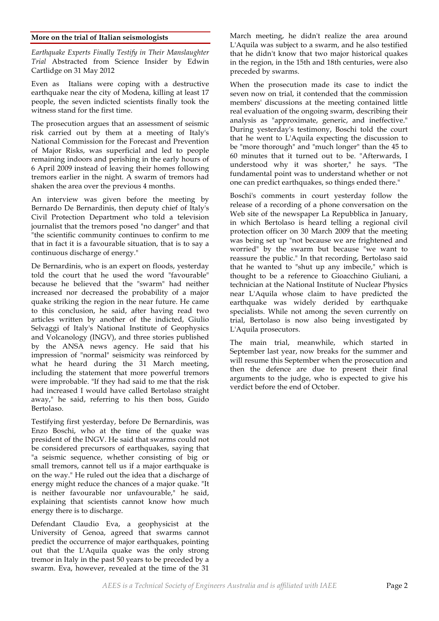## **More on the trial of Italian seismologists**

*Earthquake Experts Finally Testify in Their Manslaughter Trial* Abstracted from Science Insider by Edwin Cartlidge on 31 May 2012

Even as Italians were coping with a destructive earthquake near the city of Modena, killing at least 17 people, the seven indicted scientists finally took the witness stand for the first time.

The prosecution argues that an assessment of seismic risk carried out by them at a meeting of Italy's National Commission for the Forecast and Prevention of Major Risks, was superficial and led to people remaining indoors and perishing in the early hours of 6 April 2009 instead of leaving their homes following tremors earlier in the night. A swarm of tremors had shaken the area over the previous 4 months.

An interview was given before the meeting by Bernardo De Bernardinis, then deputy chief of Italy's Civil Protection Department who told a television journalist that the tremors posed "no danger" and that "the scientific community continues to confirm to me that in fact it is a favourable situation, that is to say a continuous discharge of energy."

De Bernardinis, who is an expert on floods, yesterday told the court that he used the word "favourable" because he believed that the "swarm" had neither increased nor decreased the probability of a major quake striking the region in the near future. He came to this conclusion, he said, after having read two articles written by another of the indicted, Giulio Selvaggi of Italy's National Institute of Geophysics and Volcanology (INGV), and three stories published by the ANSA news agency. He said that his impression of "normal" seismicity was reinforced by what he heard during the 31 March meeting, including the statement that more powerful tremors were improbable. "If they had said to me that the risk had increased I would have called Bertolaso straight away," he said, referring to his then boss, Guido Bertolaso.

Testifying first yesterday, before De Bernardinis, was Enzo Boschi, who at the time of the quake was president of the INGV. He said that swarms could not be considered precursors of earthquakes, saying that "a seismic sequence, whether consisting of big or small tremors, cannot tell us if a major earthquake is on the way." He ruled out the idea that a discharge of energy might reduce the chances of a major quake. "It is neither favourable nor unfavourable," he said, explaining that scientists cannot know how much energy there is to discharge.

Defendant Claudio Eva, a geophysicist at the University of Genoa, agreed that swarms cannot predict the occurrence of major earthquakes, pointing out that the L'Aquila quake was the only strong tremor in Italy in the past 50 years to be preceded by a swarm. Eva, however, revealed at the time of the 31

March meeting, he didn't realize the area around L'Aquila was subject to a swarm, and he also testified that he didn't know that two major historical quakes in the region, in the 15th and 18th centuries, were also preceded by swarms.

When the prosecution made its case to indict the seven now on trial, it contended that the commission members' discussions at the meeting contained little real evaluation of the ongoing swarm, describing their analysis as "approximate, generic, and ineffective." During yesterday's testimony, Boschi told the court that he went to L'Aquila expecting the discussion to be "more thorough" and "much longer" than the 45 to 60 minutes that it turned out to be. "Afterwards, I understood why it was shorter," he says. "The fundamental point was to understand whether or not one can predict earthquakes, so things ended there."

Boschi's comments in court yesterday follow the release of a recording of a phone conversation on the Web site of the newspaper La Repubblica in January, in which Bertolaso is heard telling a regional civil protection officer on 30 March 2009 that the meeting was being set up "not because we are frightened and worried" by the swarm but because "we want to reassure the public." In that recording, Bertolaso said that he wanted to "shut up any imbecile," which is thought to be a reference to Gioacchino Giuliani, a technician at the National Institute of Nuclear Physics near L'Aquila whose claim to have predicted the earthquake was widely derided by earthquake specialists. While not among the seven currently on trial, Bertolaso is now also being investigated by L'Aquila prosecutors.

The main trial, meanwhile, which started in September last year, now breaks for the summer and will resume this September when the prosecution and then the defence are due to present their final arguments to the judge, who is expected to give his verdict before the end of October.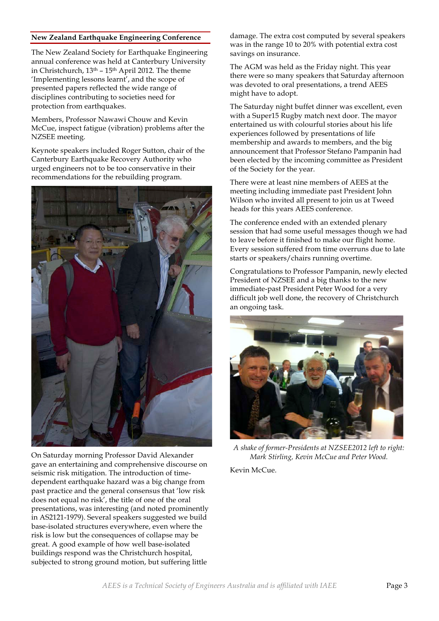## **New Zealand Earthquake Engineering Conference**

The New Zealand Society for Earthquake Engineering annual conference was held at Canterbury University in Christchurch,  $13<sup>th</sup> - 15<sup>th</sup>$  April 2012. The theme 'Implementing lessons learnt', and the scope of presented papers reflected the wide range of disciplines contributing to societies need for protection from earthquakes.

Members, Professor Nawawi Chouw and Kevin McCue, inspect fatigue (vibration) problems after the NZSEE meeting.

Keynote speakers included Roger Sutton, chair of the Canterbury Earthquake Recovery Authority who urged engineers not to be too conservative in their recommendations for the rebuilding program.



On Saturday morning Professor David Alexander gave an entertaining and comprehensive discourse on seismic risk mitigation. The introduction of timedependent earthquake hazard was a big change from past practice and the general consensus that 'low risk does not equal no risk', the title of one of the oral presentations, was interesting (and noted prominently in AS2121-1979). Several speakers suggested we build base-isolated structures everywhere, even where the risk is low but the consequences of collapse may be great. A good example of how well base-isolated buildings respond was the Christchurch hospital, subjected to strong ground motion, but suffering little

damage. The extra cost computed by several speakers was in the range 10 to 20% with potential extra cost savings on insurance.

The AGM was held as the Friday night. This year there were so many speakers that Saturday afternoon was devoted to oral presentations, a trend AEES might have to adopt.

The Saturday night buffet dinner was excellent, even with a Super15 Rugby match next door. The mayor entertained us with colourful stories about his life experiences followed by presentations of life membership and awards to members, and the big announcement that Professor Stefano Pampanin had been elected by the incoming committee as President of the Society for the year.

There were at least nine members of AEES at the meeting including immediate past President John Wilson who invited all present to join us at Tweed heads for this years AEES conference.

The conference ended with an extended plenary session that had some useful messages though we had to leave before it finished to make our flight home. Every session suffered from time overruns due to late starts or speakers/chairs running overtime.

Congratulations to Professor Pampanin, newly elected President of NZSEE and a big thanks to the new immediate-past President Peter Wood for a very difficult job well done, the recovery of Christchurch an ongoing task.



*A shake of former-Presidents at NZSEE2012 left to right: Mark Stirling, Kevin McCue and Peter Wood.*

Kevin McCue.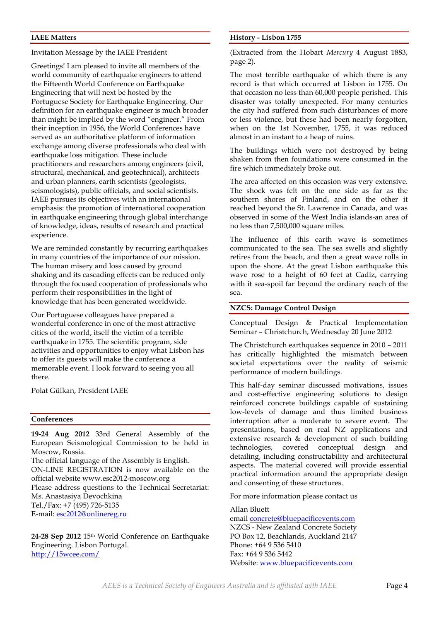## **IAEE Matters**

Invitation Message by the IAEE President

Greetings! I am pleased to invite all members of the world community of earthquake engineers to attend the Fifteenth World Conference on Earthquake Engineering that will next be hosted by the Portuguese Society for Earthquake Engineering. Our definition for an earthquake engineer is much broader than might be implied by the word "engineer." From their inception in 1956, the World Conferences have served as an authoritative platform of information exchange among diverse professionals who deal with earthquake loss mitigation. These include practitioners and researchers among engineers (civil, structural, mechanical, and geotechnical), architects and urban planners, earth scientists (geologists, seismologists), public officials, and social scientists. IAEE pursues its objectives with an international emphasis: the promotion of international cooperation in earthquake engineering through global interchange of knowledge, ideas, results of research and practical experience.

We are reminded constantly by recurring earthquakes in many countries of the importance of our mission. The human misery and loss caused by ground shaking and its cascading effects can be reduced only through the focused cooperation of professionals who perform their responsibilities in the light of knowledge that has been generated worldwide.

Our Portuguese colleagues have prepared a wonderful conference in one of the most attractive cities of the world, itself the victim of a terrible earthquake in 1755. The scientific program, side activities and opportunities to enjoy what Lisbon has to offer its guests will make the conference a memorable event. I look forward to seeing you all there.

Polat Gülkan, President IAEE

#### **Conferences**

**19-24 Aug 2012** 33rd General Assembly of the European Seismological Commission to be held in Moscow, Russia.

The official language of the Assembly is English. ON-LINE REGISTRATION is now available on the official website www.esc2012-moscow.org Please address questions to the Technical Secretariat: Ms. Anastasiya Devochkina Tel./Fax: +7 (495) 726-5135 E-mail: esc2012@onlinereg.ru

**24-28 Sep 2012** 15th World Conference on Earthquake Engineering. Lisbon Portugal. http://15wcee.com/

#### **History - Lisbon 1755**

(Extracted from the Hobart *Mercury* 4 August 1883, page 2).

The most terrible earthquake of which there is any record is that which occurred at Lisbon in 1755. On that occasion no less than 60,000 people perished. This disaster was totally unexpected. For many centuries the city had suffered from such disturbances of more or less violence, but these had been nearly forgotten, when on the 1st November, 1755, it was reduced almost in an instant to a heap of ruins.

The buildings which were not destroyed by being shaken from then foundations were consumed in the fire which immediately broke out.

The area affected on this occasion was very extensive. The shock was felt on the one side as far as the southern shores of Finland, and on the other it reached beyond the St. Lawrence in Canada, and was observed in some of the West India islands-an area of no less than 7,500,000 square miles.

The influence of this earth wave is sometimes communicated to the sea. The sea swells and slightly retires from the beach, and then a great wave rolls in upon the shore. At the great Lisbon earthquake this wave rose to a height of 60 feet at Cadiz, carrying with it sea-spoil far beyond the ordinary reach of the sea.

## **NZCS: Damage Control Design**

Conceptual Design & Practical Implementation Seminar – Christchurch, Wednesday 20 June 2012

The Christchurch earthquakes sequence in 2010 – 2011 has critically highlighted the mismatch between societal expectations over the reality of seismic performance of modern buildings.

This half-day seminar discussed motivations, issues and cost-effective engineering solutions to design reinforced concrete buildings capable of sustaining low-levels of damage and thus limited business interruption after a moderate to severe event. The presentations, based on real NZ applications and extensive research & development of such building technologies, covered conceptual design and detailing, including constructability and architectural aspects. The material covered will provide essential practical information around the appropriate design and consenting of these structures.

For more information please contact us

Allan Bluett email concrete@bluepacificevents.com NZCS - New Zealand Concrete Society PO Box 12, Beachlands, Auckland 2147 Phone: +64 9 536 5410 Fax: +64 9 536 5442 Website: www.bluepacificevents.com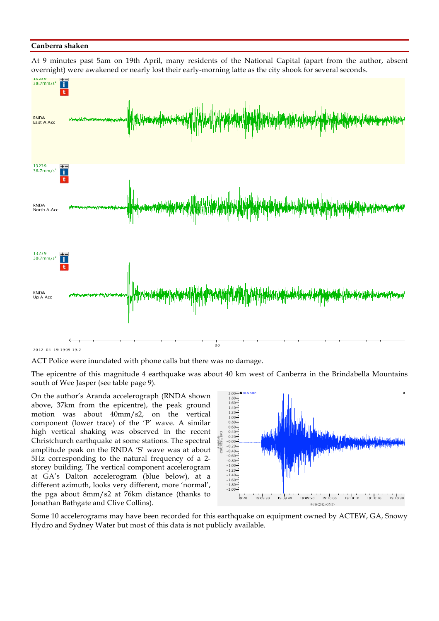#### **Canberra shaken**

At 9 minutes past 5am on 19th April, many residents of the National Capital (apart from the author, absent overnight) were awakened or nearly lost their early-morning latte as the city shook for several seconds.



2012-04-19 1909 19.2

ACT Police were inundated with phone calls but there was no damage.

The epicentre of this magnitude 4 earthquake was about 40 km west of Canberra in the Brindabella Mountains south of Wee Jasper (see table page 9).

On the author's Aranda accelerograph (RNDA shown above, 37km from the epicentre), the peak ground motion was about 40mm/s2, on the vertical component (lower trace) of the 'P' wave. A similar high vertical shaking was observed in the recent Christchurch earthquake at some stations. The spectral amplitude peak on the RNDA 'S' wave was at about 5Hz corresponding to the natural frequency of a 2 storey building. The vertical component accelerogram at GA's Dalton accelerogram (blue below), at a different azimuth, looks very different, more 'normal', the pga about 8mm/s2 at 76km distance (thanks to Jonathan Bathgate and Clive Collins).



Some 10 accelerograms may have been recorded for this earthquake on equipment owned by ACTEW, GA, Snowy Hydro and Sydney Water but most of this data is not publicly available.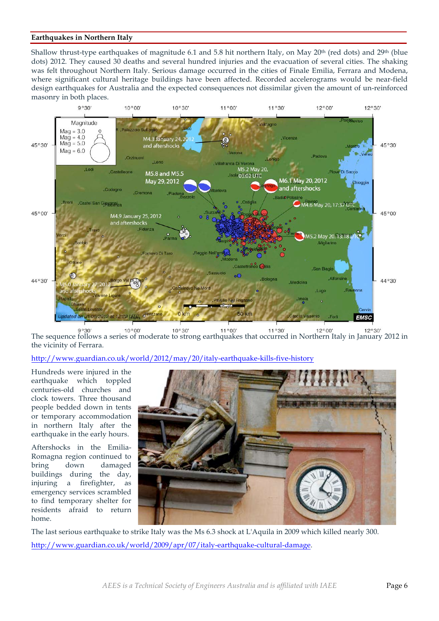## **Earthquakes in Northern Italy**

Shallow thrust-type earthquakes of magnitude 6.1 and 5.8 hit northern Italy, on May 20<sup>th</sup> (red dots) and 29<sup>th</sup> (blue dots) 2012. They caused 30 deaths and several hundred injuries and the evacuation of several cities. The shaking was felt throughout Northern Italy. Serious damage occurred in the cities of Finale Emilia, Ferrara and Modena, where significant cultural heritage buildings have been affected. Recorded accelerograms would be near-field design earthquakes for Australia and the expected consequences not dissimilar given the amount of un-reinforced masonry in both places.



 $9°30$  $10°00'$  $10°30'$  $11°00'$  $11°30'$  $12°00'$  $12°30'$ The sequence follows a series of moderate to strong earthquakes that occurred in Northern Italy in January 2012 in the vicinity of Ferrara.

http://www.guardian.co.uk/world/2012/may/20/italy-earthquake-kills-five-history

Hundreds were injured in the earthquake which toppled centuries-old churches and clock towers. Three thousand people bedded down in tents or temporary accommodation in northern Italy after the earthquake in the early hours.

Aftershocks in the Emilia-Romagna region continued to bring down damaged buildings during the day, injuring a firefighter, as emergency services scrambled to find temporary shelter for residents afraid to return home.



The last serious earthquake to strike Italy was the Ms 6.3 shock at L'Aquila in 2009 which killed nearly 300. http://www.guardian.co.uk/world/2009/apr/07/italy-earthquake-cultural-damage.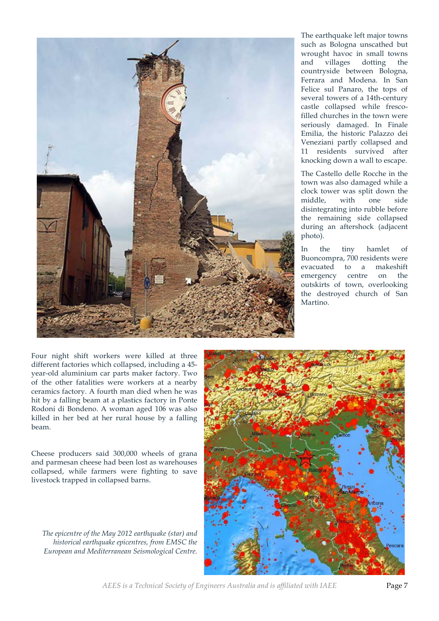

The earthquake left major towns such as Bologna unscathed but wrought havoc in small towns and villages dotting the countryside between Bologna, Ferrara and Modena. In San Felice sul Panaro, the tops of several towers of a 14th-century castle collapsed while frescofilled churches in the town were seriously damaged. In Finale Emilia, the historic Palazzo dei Veneziani partly collapsed and 11 residents survived after knocking down a wall to escape.

The Castello delle Rocche in the town was also damaged while a clock tower was split down the middle, with one side disintegrating into rubble before the remaining side collapsed during an aftershock (adjacent photo).

In the tiny hamlet of Buoncompra, 700 residents were evacuated to a makeshift emergency centre on the outskirts of town, overlooking the destroyed church of San Martino.

Four night shift workers were killed at three different factories which collapsed, including a 45 year-old aluminium car parts maker factory. Two of the other fatalities were workers at a nearby ceramics factory. A fourth man died when he was hit by a falling beam at a plastics factory in Ponte Rodoni di Bondeno. A woman aged 106 was also killed in her bed at her rural house by a falling beam.

Cheese producers said 300,000 wheels of grana and parmesan cheese had been lost as warehouses collapsed, while farmers were fighting to save livestock trapped in collapsed barns.

*The epicentre of the May 2012 earthquake (star) and historical earthquake epicentres, from EMSC the European and Mediterranean Seismological Centre.*



*AEES is a Technical Society of Engineers Australia and is affiliated with IAEE* Page 7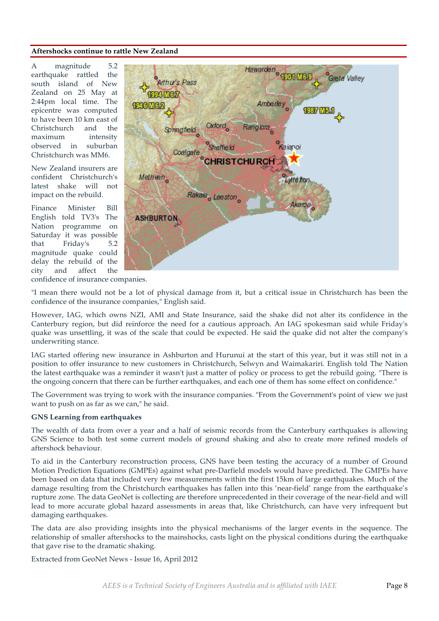#### **Aftershocks continue to rattle New Zealand**

A magnitude 5.2 earthquake rattled the south island of New Zealand on 25 May at 2:44pm local time. The epicentre was computed to have been 10 km east of Christchurch and the maximum intensity observed in suburban Christchurch was MM6.

New Zealand insurers are confident Christchurch's latest shake will not impact on the rebuild.

Finance Minister Bill English told TV3's The Nation programme on Saturday it was possible that Friday's 5.2 magnitude quake could delay the rebuild of the city and affect the



confidence of insurance companies.

"I mean there would not be a lot of physical damage from it, but a critical issue in Christchurch has been the confidence of the insurance companies," English said.

However, IAG, which owns NZI, AMI and State Insurance, said the shake did not alter its confidence in the Canterbury region, but did reinforce the need for a cautious approach. An IAG spokesman said while Friday's quake was unsettling, it was of the scale that could be expected. He said the quake did not alter the company's underwriting stance.

IAG started offering new insurance in Ashburton and Hurunui at the start of this year, but it was still not in a position to offer insurance to new customers in Christchurch, Selwyn and Waimakariri. English told The Nation the latest earthquake was a reminder it wasn't just a matter of policy or process to get the rebuild going. "There is the ongoing concern that there can be further earthquakes, and each one of them has some effect on confidence."

The Government was trying to work with the insurance companies. "From the Government's point of view we just want to push on as far as we can," he said.

#### **GNS Learning from earthquakes**

The wealth of data from over a year and a half of seismic records from the Canterbury earthquakes is allowing GNS Science to both test some current models of ground shaking and also to create more refined models of aftershock behaviour.

To aid in the Canterbury reconstruction process, GNS have been testing the accuracy of a number of Ground Motion Prediction Equations (GMPEs) against what pre-Darfield models would have predicted. The GMPEs have been based on data that included very few measurements within the first 15km of large earthquakes. Much of the damage resulting from the Christchurch earthquakes has fallen into this 'near-field' range from the earthquake's rupture zone. The data GeoNet is collecting are therefore unprecedented in their coverage of the near-field and will lead to more accurate global hazard assessments in areas that, like Christchurch, can have very infrequent but damaging earthquakes.

The data are also providing insights into the physical mechanisms of the larger events in the sequence. The relationship of smaller aftershocks to the mainshocks, casts light on the physical conditions during the earthquake that gave rise to the dramatic shaking.

Extracted from GeoNet News - Issue 16, April 2012